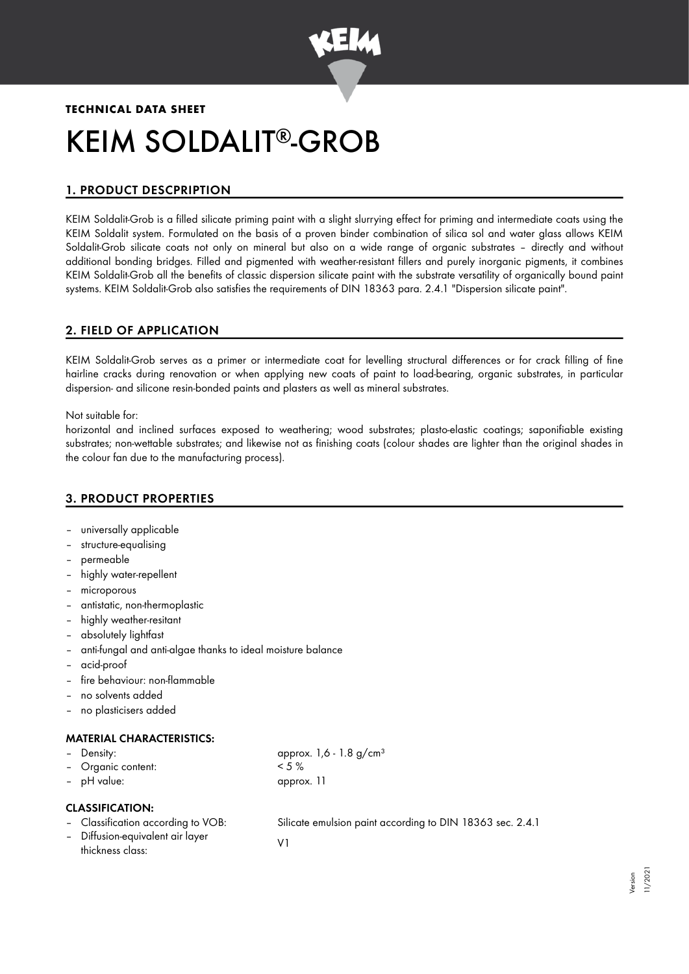

# **TECHNICAL DATA SHEET** KEIM SOLDALIT®-GROB

# 1. PRODUCT DESCPRIPTION

KEIM Soldalit-Grob is a filled silicate priming paint with a slight slurrying effect for priming and intermediate coats using the KEIM Soldalit system. Formulated on the basis of a proven binder combination of silica sol and water glass allows KEIM Soldalit-Grob silicate coats not only on mineral but also on a wide range of organic substrates – directly and without additional bonding bridges. Filled and pigmented with weather-resistant fillers and purely inorganic pigments, it combines KEIM Soldalit-Grob all the benefits of classic dispersion silicate paint with the substrate versatility of organically bound paint systems. KEIM Soldalit-Grob also satisfies the requirements of DIN 18363 para. 2.4.1 "Dispersion silicate paint".

# 2. FIELD OF APPLICATION

KEIM Soldalit-Grob serves as a primer or intermediate coat for levelling structural differences or for crack filling of fine hairline cracks during renovation or when applying new coats of paint to load-bearing, organic substrates, in particular dispersion- and silicone resin-bonded paints and plasters as well as mineral substrates.

Not suitable for:

horizontal and inclined surfaces exposed to weathering; wood substrates; plasto-elastic coatings; saponifiable existing substrates; non-wettable substrates; and likewise not as finishing coats (colour shades are lighter than the original shades in the colour fan due to the manufacturing process).

# 3. PRODUCT PROPERTIES

- universally applicable
- structure-equalising
- permeable
- highly water-repellent
- microporous
- antistatic, non-thermoplastic
- highly weather-resitant
- absolutely lightfast
- anti-fungal and anti-algae thanks to ideal moisture balance
- acid-proof
- fire behaviour: non-flammable
- no solvents added
- no plasticisers added

## MATERIAL CHARACTERISTICS:

Density:  $\qquad \qquad \text{opprox. } 1,6 - 1.8 \text{ g/cm}^3$ – Organic content: < 5 % – pH value: approx. 11

## CLASSIFICATION:

- - Classification according to VOB: Silicate emulsion paint according to DIN 18363 sec. 2.4.1
- Diffusion-equivalent air layer Diffusion-equivalent air layer<br>thickness class: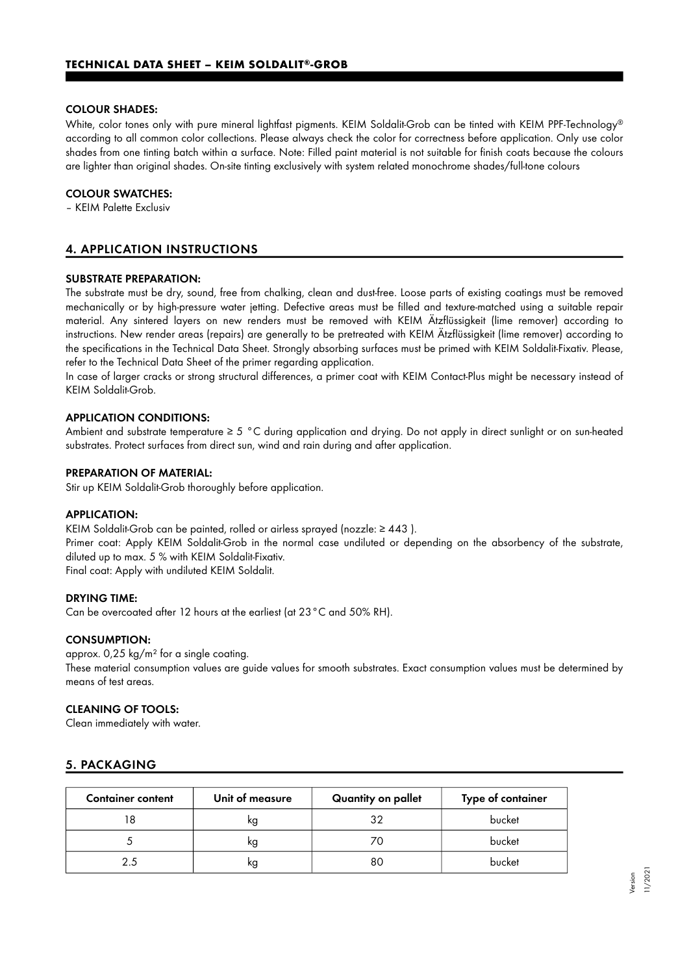#### COLOUR SHADES:

White, color tones only with pure mineral lightfast pigments. KEIM Soldalit-Grob can be tinted with KEIM PPF-Technology ® according to all common color collections. Please always check the color for correctness before application. Only use color shades from one tinting batch within a surface. Note: Filled paint material is not suitable for finish coats because the colours are lighter than original shades. On-site tinting exclusively with system related monochrome shades/full-tone colours

#### COLOUR SWATCHES:

– KEIM Palette Exclusiv

# 4. APPLICATION INSTRUCTIONS

#### SUBSTRATE PREPARATION:

The substrate must be dry, sound, free from chalking, clean and dust-free. Loose parts of existing coatings must be removed mechanically or by high-pressure water jetting. Defective areas must be filled and texture-matched using a suitable repair material. Any sintered layers on new renders must be removed with KEIM Ätzflüssigkeit (lime remover) according to instructions. New render areas (repairs) are generally to be pretreated with KEIM Ätzflüssigkeit (lime remover) according to the specifications in the Technical Data Sheet. Strongly absorbing surfaces must be primed with KEIM Soldalit-Fixativ. Please, refer to the Technical Data Sheet of the primer regarding application.

In case of larger cracks or strong structural differences, a primer coat with KEIM Contact-Plus might be necessary instead of KEIM Soldalit-Grob.

#### APPLICATION CONDITIONS:

Ambient and substrate temperature ≥ 5 °C during application and drying. Do not apply in direct sunlight or on sun-heated substrates. Protect surfaces from direct sun, wind and rain during and after application.

#### PREPARATION OF MATERIAL:

Stir up KEIM Soldalit-Grob thoroughly before application.

#### APPLICATION:

KEIM Soldalit-Grob can be painted, rolled or airless sprayed (nozzle:  $\geq 443$ ).

Primer coat: Apply KEIM Soldalit-Grob in the normal case undiluted or depending on the absorbency of the substrate, diluted up to max. 5 % with KEIM Soldalit-Fixativ.

Final coat: Apply with undiluted KEIM Soldalit.

#### DRYING TIME:

Can be overcoated after 12 hours at the earliest (at 23°C and 50% RH).

#### CONSUMPTION:

approx. 0,25 kg/m² for a single coating.

These material consumption values are guide values for smooth substrates. Exact consumption values must be determined by means of test areas.

#### CLEANING OF TOOLS:

Clean immediately with water.

## 5. PACKAGING

| <b>Container content</b> | Unit of measure | Quantity on pallet | Type of container |
|--------------------------|-----------------|--------------------|-------------------|
|                          | ĸg              | つ                  | bucket            |
|                          | ĸg              |                    | bucket            |
| つち                       | κg              | 80                 | bucket            |